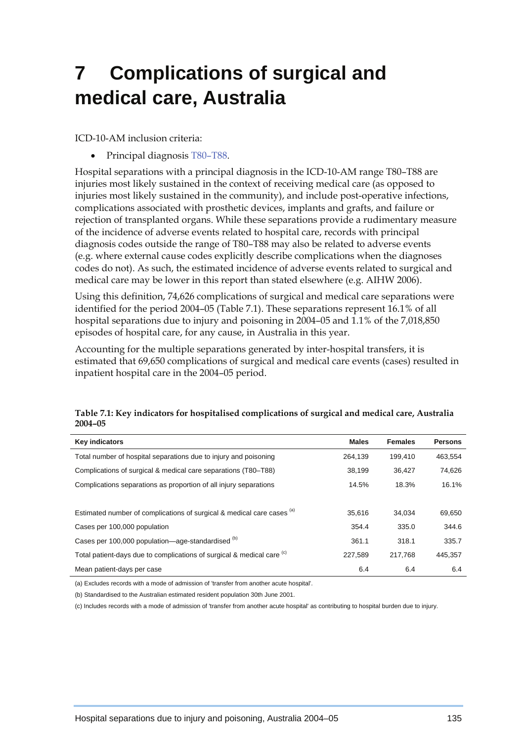# **7 Complications of surgical and medical care, Australia**

ICD-10-AM inclusion criteria:

• Principal diagnosis T80–T88.

Hospital separations with a principal diagnosis in the ICD-10-AM range T80–T88 are injuries most likely sustained in the context of receiving medical care (as opposed to injuries most likely sustained in the community), and include post-operative infections, complications associated with prosthetic devices, implants and grafts, and failure or rejection of transplanted organs. While these separations provide a rudimentary measure of the incidence of adverse events related to hospital care, records with principal diagnosis codes outside the range of T80–T88 may also be related to adverse events (e.g. where external cause codes explicitly describe complications when the diagnoses codes do not). As such, the estimated incidence of adverse events related to surgical and medical care may be lower in this report than stated elsewhere (e.g. AIHW 2006).

Using this definition, 74,626 complications of surgical and medical care separations were identified for the period 2004–05 (Table 7.1). These separations represent 16.1% of all hospital separations due to injury and poisoning in 2004–05 and 1.1% of the 7,018,850 episodes of hospital care, for any cause, in Australia in this year.

Accounting for the multiple separations generated by inter-hospital transfers, it is estimated that 69,650 complications of surgical and medical care events (cases) resulted in inpatient hospital care in the 2004–05 period.

| <b>Key indicators</b>                                                             | <b>Males</b> | <b>Females</b> | <b>Persons</b> |
|-----------------------------------------------------------------------------------|--------------|----------------|----------------|
| Total number of hospital separations due to injury and poisoning                  | 264.139      | 199.410        | 463.554        |
| Complications of surgical & medical care separations (T80–T88)                    | 38,199       | 36.427         | 74,626         |
| Complications separations as proportion of all injury separations                 | 14.5%        | 18.3%          | 16.1%          |
|                                                                                   |              |                |                |
| Estimated number of complications of surgical & medical care cases (a)            | 35,616       | 34.034         | 69,650         |
| Cases per 100,000 population                                                      | 354.4        | 335.0          | 344.6          |
| Cases per 100,000 population-age-standardised (b)                                 | 361.1        | 318.1          | 335.7          |
| Total patient-days due to complications of surgical & medical care <sup>(c)</sup> | 227.589      | 217.768        | 445,357        |
| Mean patient-days per case                                                        | 6.4          | 6.4            | 6.4            |

#### **Table 7.1: Key indicators for hospitalised complications of surgical and medical care, Australia 2004–05**

(a) Excludes records with a mode of admission of 'transfer from another acute hospital'.

(b) Standardised to the Australian estimated resident population 30th June 2001.

(c) Includes records with a mode of admission of 'transfer from another acute hospital' as contributing to hospital burden due to injury.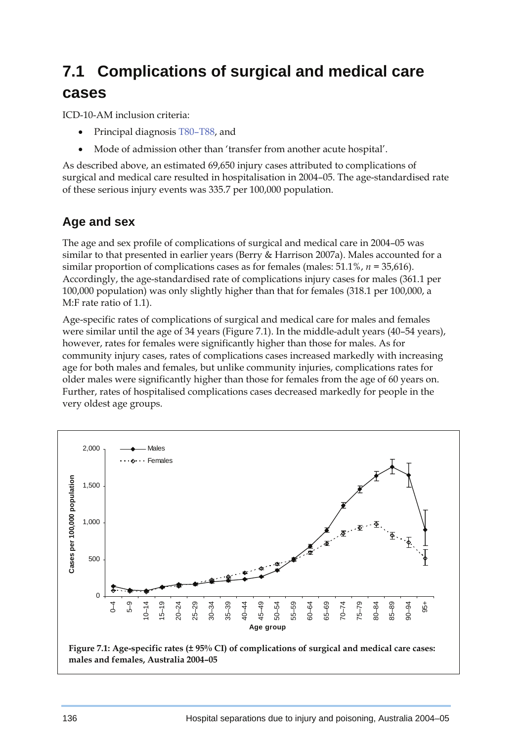## **7.1 Complications of surgical and medical care cases**

ICD-10-AM inclusion criteria:

- Principal diagnosis T80–T88, and
- Mode of admission other than 'transfer from another acute hospital'.

As described above, an estimated 69,650 injury cases attributed to complications of surgical and medical care resulted in hospitalisation in 2004–05. The age-standardised rate of these serious injury events was 335.7 per 100,000 population.

### **Age and sex**

The age and sex profile of complications of surgical and medical care in 2004–05 was similar to that presented in earlier years (Berry & Harrison 2007a). Males accounted for a similar proportion of complications cases as for females (males: 51.1%, *n =* 35,616). Accordingly, the age-standardised rate of complications injury cases for males (361.1 per 100,000 population) was only slightly higher than that for females (318.1 per 100,000, a M:F rate ratio of 1.1).

Age-specific rates of complications of surgical and medical care for males and females were similar until the age of 34 years (Figure 7.1). In the middle-adult years (40–54 years), however, rates for females were significantly higher than those for males. As for community injury cases, rates of complications cases increased markedly with increasing age for both males and females, but unlike community injuries, complications rates for older males were significantly higher than those for females from the age of 60 years on. Further, rates of hospitalised complications cases decreased markedly for people in the very oldest age groups.

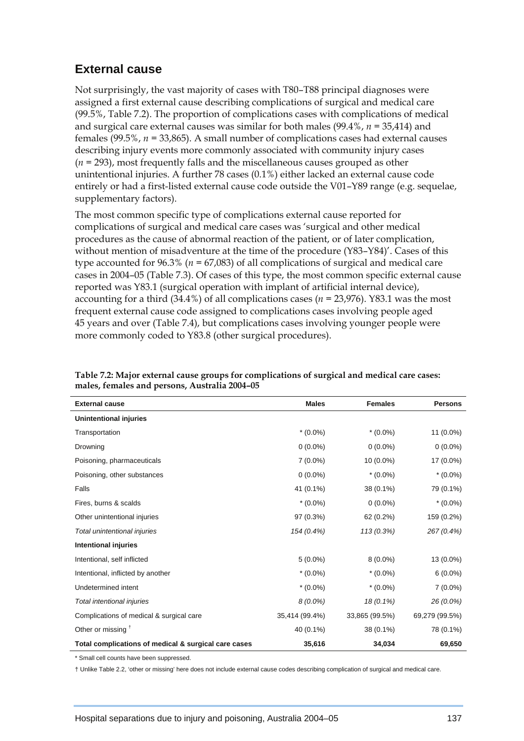## **External cause**

Not surprisingly, the vast majority of cases with T80–T88 principal diagnoses were assigned a first external cause describing complications of surgical and medical care (99.5%, Table 7.2). The proportion of complications cases with complications of medical and surgical care external causes was similar for both males (99.4%, *n =* 35,414) and females (99.5%, *n =* 33,865). A small number of complications cases had external causes describing injury events more commonly associated with community injury cases (*n =* 293), most frequently falls and the miscellaneous causes grouped as other unintentional injuries. A further 78 cases (0.1%) either lacked an external cause code entirely or had a first-listed external cause code outside the V01–Y89 range (e.g. sequelae, supplementary factors).

The most common specific type of complications external cause reported for complications of surgical and medical care cases was 'surgical and other medical procedures as the cause of abnormal reaction of the patient, or of later complication, without mention of misadventure at the time of the procedure (Y83–Y84)'. Cases of this type accounted for 96.3% (*n =* 67,083) of all complications of surgical and medical care cases in 2004–05 (Table 7.3). Of cases of this type, the most common specific external cause reported was Y83.1 (surgical operation with implant of artificial internal device), accounting for a third (34.4%) of all complications cases (*n =* 23,976). Y83.1 was the most frequent external cause code assigned to complications cases involving people aged 45 years and over (Table 7.4), but complications cases involving younger people were more commonly coded to Y83.8 (other surgical procedures).

| <b>External cause</b>                                | <b>Males</b>   | <b>Females</b> | <b>Persons</b> |  |
|------------------------------------------------------|----------------|----------------|----------------|--|
| Unintentional injuries                               |                |                |                |  |
| Transportation                                       | $*(0.0\%)$     | $*(0.0\%)$     | 11 (0.0%)      |  |
| Drowning                                             | $0(0.0\%)$     | $0(0.0\%)$     | $0(0.0\%)$     |  |
| Poisoning, pharmaceuticals                           | $7(0.0\%)$     | $10(0.0\%)$    | 17 (0.0%)      |  |
| Poisoning, other substances                          | $0(0.0\%)$     | $*(0.0\%)$     | $*(0.0\%)$     |  |
| Falls                                                | 41 (0.1%)      | 38 (0.1%)      | 79 (0.1%)      |  |
| Fires, burns & scalds                                | $*(0.0\%)$     | $0(0.0\%)$     | $*(0.0\%)$     |  |
| Other unintentional injuries                         | 97 (0.3%)      | 62 (0.2%)      | 159 (0.2%)     |  |
| Total unintentional injuries                         | 154 (0.4%)     | 113 (0.3%)     | 267 (0.4%)     |  |
| <b>Intentional injuries</b>                          |                |                |                |  |
| Intentional, self inflicted                          | $5(0.0\%)$     | $8(0.0\%)$     | 13 (0.0%)      |  |
| Intentional, inflicted by another                    | $*(0.0\%)$     | $*(0.0\%)$     | $6(0.0\%)$     |  |
| Undetermined intent                                  | $*(0.0\%)$     | $*(0.0\%)$     | $7(0.0\%)$     |  |
| Total intentional injuries                           | 8 (0.0%)       | 18 (0.1%)      | 26 (0.0%)      |  |
| Complications of medical & surgical care             | 35,414 (99.4%) | 33,865 (99.5%) | 69,279 (99.5%) |  |
| Other or missing <sup>+</sup>                        | 40 (0.1%)      | 38 (0.1%)      | 78 (0.1%)      |  |
| Total complications of medical & surgical care cases | 35,616         | 34,034         | 69,650         |  |
| * Cmall and acupta boughaan cunnissaed               |                |                |                |  |

**Table 7.2: Major external cause groups for complications of surgical and medical care cases: males, females and persons, Australia 2004–05** 

Small cell counts have been suppressed.

† Unlike Table 2.2, 'other or missing' here does not include external cause codes describing complication of surgical and medical care.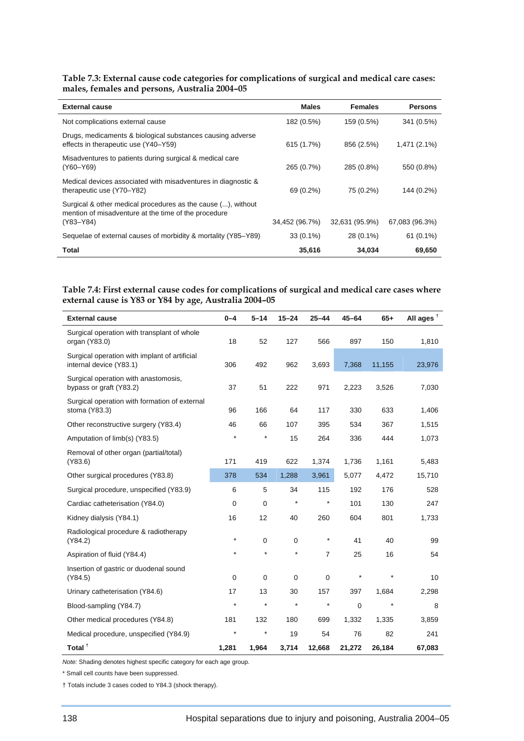**Table 7.3: External cause code categories for complications of surgical and medical care cases: males, females and persons, Australia 2004–05** 

| <b>External cause</b>                                                                                                             | <b>Males</b>   | <b>Females</b> | <b>Persons</b> |
|-----------------------------------------------------------------------------------------------------------------------------------|----------------|----------------|----------------|
| Not complications external cause                                                                                                  | 182 (0.5%)     | 159 (0.5%)     | 341 (0.5%)     |
| Drugs, medicaments & biological substances causing adverse<br>effects in therapeutic use (Y40–Y59)                                | 615 (1.7%)     | 856 (2.5%)     | 1,471 (2.1%)   |
| Misadventures to patients during surgical & medical care<br>(Y60-Y69)                                                             | 265 (0.7%)     | 285 (0.8%)     | 550 (0.8%)     |
| Medical devices associated with misadventures in diagnostic &<br>therapeutic use (Y70–Y82)                                        | 69 (0.2%)      | 75 (0.2%)      | 144 (0.2%)     |
| Surgical & other medical procedures as the cause (), without<br>mention of misadventure at the time of the procedure<br>(Y83-Y84) | 34,452 (96.7%) | 32,631 (95.9%) | 67,083 (96.3%) |
|                                                                                                                                   |                |                |                |
| Sequelae of external causes of morbidity & mortality (Y85–Y89)                                                                    | $33(0.1\%)$    | 28 (0.1%)      | $61(0.1\%)$    |
| <b>Total</b>                                                                                                                      | 35,616         | 34,034         | 69,650         |

#### **Table 7.4: First external cause codes for complications of surgical and medical care cases where external cause is Y83 or Y84 by age, Australia 2004–05**

| <b>External cause</b>                                                    | $0 - 4$     | $5 - 14$    | $15 - 24$   | $25 - 44$      | $45 - 64$ | $65+$   | All ages <sup>t</sup> |
|--------------------------------------------------------------------------|-------------|-------------|-------------|----------------|-----------|---------|-----------------------|
| Surgical operation with transplant of whole<br>organ (Y83.0)             | 18          | 52          | 127         | 566            | 897       | 150     | 1,810                 |
| Surgical operation with implant of artificial<br>internal device (Y83.1) | 306         | 492         | 962         | 3,693          | 7,368     | 11,155  | 23,976                |
| Surgical operation with anastomosis,<br>bypass or graft (Y83.2)          | 37          | 51          | 222         | 971            | 2,223     | 3,526   | 7,030                 |
| Surgical operation with formation of external<br>stoma (Y83.3)           | 96          | 166         | 64          | 117            | 330       | 633     | 1,406                 |
| Other reconstructive surgery (Y83.4)                                     | 46          | 66          | 107         | 395            | 534       | 367     | 1,515                 |
| Amputation of limb(s) (Y83.5)                                            | $\star$     | $\star$     | 15          | 264            | 336       | 444     | 1,073                 |
| Removal of other organ (partial/total)<br>(Y83.6)                        | 171         | 419         | 622         | 1,374          | 1,736     | 1,161   | 5,483                 |
| Other surgical procedures (Y83.8)                                        | 378         | 534         | 1,288       | 3,961          | 5,077     | 4,472   | 15,710                |
| Surgical procedure, unspecified (Y83.9)                                  | 6           | 5           | 34          | 115            | 192       | 176     | 528                   |
| Cardiac catheterisation (Y84.0)                                          | 0           | 0           | $\star$     | $^\star$       | 101       | 130     | 247                   |
| Kidney dialysis (Y84.1)                                                  | 16          | 12          | 40          | 260            | 604       | 801     | 1,733                 |
| Radiological procedure & radiotherapy                                    |             |             |             |                |           |         |                       |
| (Y84.2)                                                                  | $\star$     | 0           | 0           | $\star$        | 41        | 40      | 99                    |
| Aspiration of fluid (Y84.4)                                              | $\star$     | $\star$     | $\star$     | $\overline{7}$ | 25        | 16      | 54                    |
| Insertion of gastric or duodenal sound                                   |             |             |             |                |           |         |                       |
| (Y84.5)                                                                  | $\mathbf 0$ | $\mathbf 0$ | $\mathbf 0$ | $\mathbf 0$    | $\star$   |         | 10                    |
| Urinary catheterisation (Y84.6)                                          | 17          | 13          | 30          | 157            | 397       | 1,684   | 2,298                 |
| Blood-sampling (Y84.7)                                                   | $\star$     | $\star$     | $\star$     | $\star$        | 0         | $\star$ | 8                     |
| Other medical procedures (Y84.8)                                         | 181         | 132         | 180         | 699            | 1,332     | 1,335   | 3,859                 |
| Medical procedure, unspecified (Y84.9)                                   |             | $\star$     | 19          | 54             | 76        | 82      | 241                   |
| Total <sup>+</sup>                                                       | 1,281       | 1,964       | 3,714       | 12,668         | 21,272    | 26,184  | 67,083                |

*Note:* Shading denotes highest specific category for each age group.

\* Small cell counts have been suppressed.

† Totals include 3 cases coded to Y84.3 (shock therapy).

l,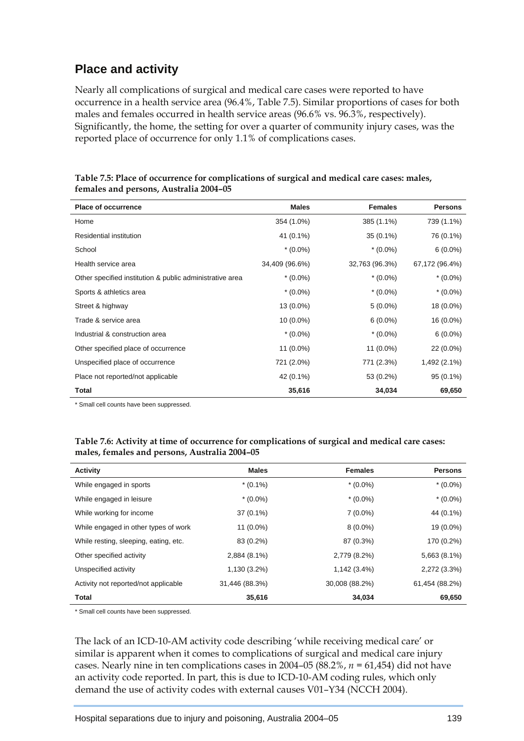## **Place and activity**

Nearly all complications of surgical and medical care cases were reported to have occurrence in a health service area (96.4%, Table 7.5). Similar proportions of cases for both males and females occurred in health service areas (96.6% vs. 96.3%, respectively). Significantly, the home, the setting for over a quarter of community injury cases, was the reported place of occurrence for only 1.1% of complications cases.

| <b>Place of occurrence</b>                               | <b>Males</b>   | <b>Females</b> | <b>Persons</b> |
|----------------------------------------------------------|----------------|----------------|----------------|
| Home                                                     | 354 (1.0%)     | 385 (1.1%)     | 739 (1.1%)     |
| Residential institution                                  | 41 (0.1%)      | 35 (0.1%)      | 76 (0.1%)      |
| School                                                   | $*(0.0\%)$     | $*(0.0\%)$     | $6(0.0\%)$     |
| Health service area                                      | 34,409 (96.6%) | 32,763 (96.3%) | 67,172 (96.4%) |
| Other specified institution & public administrative area | $*(0.0\%)$     | $*(0.0\%)$     | $*(0.0\%)$     |
| Sports & athletics area                                  | $*(0.0\%)$     | $*(0.0\%)$     | $*(0.0\%)$     |
| Street & highway                                         | 13 (0.0%)      | $5(0.0\%)$     | 18 (0.0%)      |
| Trade & service area                                     | 10 (0.0%)      | $6(0.0\%)$     | 16 (0.0%)      |
| Industrial & construction area                           | $*(0.0\%)$     | $*(0.0\%)$     | $6(0.0\%)$     |
| Other specified place of occurrence                      | 11 (0.0%)      | 11 (0.0%)      | 22 (0.0%)      |
| Unspecified place of occurrence                          | 721 (2.0%)     | 771 (2.3%)     | 1,492 (2.1%)   |
| Place not reported/not applicable                        | 42 (0.1%)      | 53 (0.2%)      | 95 (0.1%)      |
| <b>Total</b>                                             | 35,616         | 34,034         | 69,650         |

**Table 7.5: Place of occurrence for complications of surgical and medical care cases: males, females and persons, Australia 2004–05** 

\* Small cell counts have been suppressed.

#### **Table 7.6: Activity at time of occurrence for complications of surgical and medical care cases: males, females and persons, Australia 2004–05**

| <b>Activity</b>                       | <b>Males</b>   | <b>Females</b> | <b>Persons</b> |
|---------------------------------------|----------------|----------------|----------------|
| While engaged in sports               | $*(0.1\%)$     | $*(0.0\%)$     | $*(0.0\%)$     |
| While engaged in leisure              | $*(0.0\%)$     | $*(0.0\%)$     | $*(0.0\%)$     |
| While working for income              | $37(0.1\%)$    | $7(0.0\%)$     | 44 (0.1%)      |
| While engaged in other types of work  | 11 (0.0%)      | $8(0.0\%)$     | 19 (0.0%)      |
| While resting, sleeping, eating, etc. | 83 (0.2%)      | 87 (0.3%)      | 170 (0.2%)     |
| Other specified activity              | 2,884 (8.1%)   | 2,779 (8.2%)   | $5,663(8.1\%)$ |
| Unspecified activity                  | 1,130 (3.2%)   | 1,142 (3.4%)   | 2,272 (3.3%)   |
| Activity not reported/not applicable  | 31,446 (88.3%) | 30,008 (88.2%) | 61,454 (88.2%) |
| <b>Total</b>                          | 35,616         | 34,034         | 69,650         |

\* Small cell counts have been suppressed.

The lack of an ICD-10-AM activity code describing 'while receiving medical care' or similar is apparent when it comes to complications of surgical and medical care injury cases. Nearly nine in ten complications cases in 2004–05 (88.2%, *n =* 61,454) did not have an activity code reported. In part, this is due to ICD-10-AM coding rules, which only demand the use of activity codes with external causes V01–Y34 (NCCH 2004).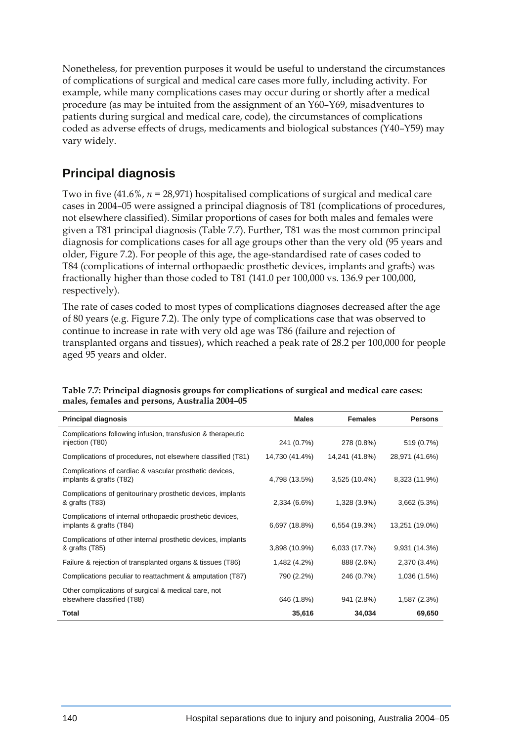Nonetheless, for prevention purposes it would be useful to understand the circumstances of complications of surgical and medical care cases more fully, including activity. For example, while many complications cases may occur during or shortly after a medical procedure (as may be intuited from the assignment of an Y60–Y69, misadventures to patients during surgical and medical care, code), the circumstances of complications coded as adverse effects of drugs, medicaments and biological substances (Y40–Y59) may vary widely.

## **Principal diagnosis**

Two in five (41.6%, *n =* 28,971) hospitalised complications of surgical and medical care cases in 2004–05 were assigned a principal diagnosis of T81 (complications of procedures, not elsewhere classified). Similar proportions of cases for both males and females were given a T81 principal diagnosis (Table 7.7). Further, T81 was the most common principal diagnosis for complications cases for all age groups other than the very old (95 years and older, Figure 7.2). For people of this age, the age-standardised rate of cases coded to T84 (complications of internal orthopaedic prosthetic devices, implants and grafts) was fractionally higher than those coded to T81 (141.0 per 100,000 vs. 136.9 per 100,000, respectively).

The rate of cases coded to most types of complications diagnoses decreased after the age of 80 years (e.g. Figure 7.2). The only type of complications case that was observed to continue to increase in rate with very old age was T86 (failure and rejection of transplanted organs and tissues), which reached a peak rate of 28.2 per 100,000 for people aged 95 years and older.

| <b>Principal diagnosis</b>                                                           | <b>Males</b>   | <b>Females</b> | <b>Persons</b> |
|--------------------------------------------------------------------------------------|----------------|----------------|----------------|
| Complications following infusion, transfusion & therapeutic<br>injection (T80)       | 241 (0.7%)     | 278 (0.8%)     | 519 (0.7%)     |
| Complications of procedures, not elsewhere classified (T81)                          | 14,730 (41.4%) | 14,241 (41.8%) | 28,971 (41.6%) |
| Complications of cardiac & vascular prosthetic devices,<br>implants & grafts (T82)   | 4,798 (13.5%)  | 3,525 (10.4%)  | 8,323 (11.9%)  |
| Complications of genitourinary prosthetic devices, implants<br>& grafts (T83)        | 2,334 (6.6%)   | 1,328 (3.9%)   | 3,662(5.3%)    |
| Complications of internal orthopaedic prosthetic devices,<br>implants & grafts (T84) | 6,697 (18.8%)  | 6,554 (19.3%)  | 13,251 (19.0%) |
| Complications of other internal prosthetic devices, implants<br>& grafts (T85)       | 3,898 (10.9%)  | 6,033 (17.7%)  | 9,931 (14.3%)  |
| Failure & rejection of transplanted organs & tissues (T86)                           | 1,482 (4.2%)   | 888 (2.6%)     | 2,370 (3.4%)   |
| Complications peculiar to reattachment & amputation (T87)                            | 790 (2.2%)     | 246 (0.7%)     | 1,036 (1.5%)   |
| Other complications of surgical & medical care, not<br>elsewhere classified (T88)    | 646 (1.8%)     | 941 (2.8%)     | 1,587 (2.3%)   |
| Total                                                                                | 35,616         | 34,034         | 69,650         |

**Table 7.7: Principal diagnosis groups for complications of surgical and medical care cases: males, females and persons, Australia 2004–05**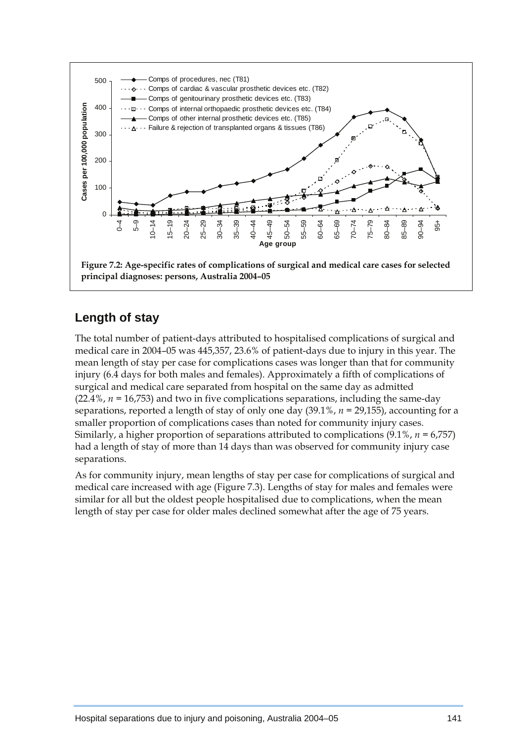

## **Length of stay**

The total number of patient-days attributed to hospitalised complications of surgical and medical care in 2004–05 was 445,357, 23.6% of patient-days due to injury in this year. The mean length of stay per case for complications cases was longer than that for community injury (6.4 days for both males and females). Approximately a fifth of complications of surgical and medical care separated from hospital on the same day as admitted (22.4%, *n =* 16,753) and two in five complications separations, including the same-day separations, reported a length of stay of only one day (39.1%, *n =* 29,155), accounting for a smaller proportion of complications cases than noted for community injury cases. Similarly, a higher proportion of separations attributed to complications (9.1%, *n =* 6,757) had a length of stay of more than 14 days than was observed for community injury case separations.

As for community injury, mean lengths of stay per case for complications of surgical and medical care increased with age (Figure 7.3). Lengths of stay for males and females were similar for all but the oldest people hospitalised due to complications, when the mean length of stay per case for older males declined somewhat after the age of 75 years.